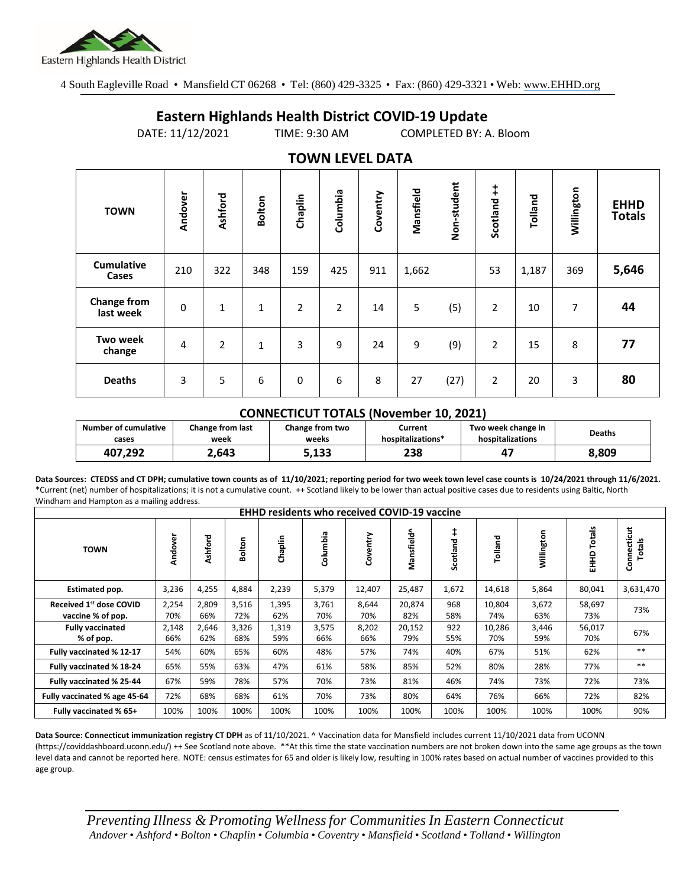

4 South Eagleville Road • Mansfield CT 06268 • Tel: (860) 429-3325 • Fax: (860) 429-3321 • Web: www.EHHD.org

## **Eastern Highlands Health District COVID-19 Update**

DATE: 11/12/2021 TIME: 9:30 AM COMPLETED BY: A. Bloom

| $19.111$ is the set of $17$     |           |                |               |                |                |          |           |             |                        |         |            |                              |
|---------------------------------|-----------|----------------|---------------|----------------|----------------|----------|-----------|-------------|------------------------|---------|------------|------------------------------|
| <b>TOWN</b>                     | Andover   | Ashford        | <b>Bolton</b> | Chaplin        | Columbia       | Coventry | Mansfield | Non-student | $\ddagger$<br>Scotland | Tolland | Willington | <b>EHHD</b><br><b>Totals</b> |
| <b>Cumulative</b><br>Cases      | 210       | 322            | 348           | 159            | 425            | 911      | 1,662     |             | 53                     | 1,187   | 369        | 5,646                        |
| <b>Change from</b><br>last week | $\pmb{0}$ | 1              | $\mathbf{1}$  | $\overline{2}$ | $\overline{2}$ | 14       | 5         | (5)         | $\overline{2}$         | 10      | 7          | 44                           |
| <b>Two week</b><br>change       | 4         | $\overline{2}$ | 1             | 3              | 9              | 24       | 9         | (9)         | $\overline{2}$         | 15      | 8          | 77                           |
| <b>Deaths</b>                   | 3         | 5              | 6             | 0              | 6              | 8        | 27        | (27)        | $\overline{2}$         | 20      | 3          | 80                           |

## **TOWN LEVEL DATA**

## **CONNECTICUT TOTALS (November 10, 2021)**

| <b>Number of cumulative</b> | <b>Change from last</b> | Change from two | Current           | Two week change in | <b>Deaths</b> |  |
|-----------------------------|-------------------------|-----------------|-------------------|--------------------|---------------|--|
| cases                       | week                    | weeks           | hospitalizations* | hospitalizations   |               |  |
| 407.292                     | 2.643                   | 5,133           | 238               |                    | 8.809         |  |

**Data Sources: CTEDSS and CT DPH; cumulative town counts as of 11/10/2021; reporting period for two week town level case counts is 10/24/2021 through 11/6/2021.** \*Current (net) number of hospitalizations; it is not a cumulative count. ++ Scotland likely to be lower than actual positive cases due to residents using Baltic, North Windham and Hampton as a mailing address.

| <b>EHHD residents who received COVID-19 vaccine</b> |              |              |              |              |              |              |               |                        |               |              |                  |                              |
|-----------------------------------------------------|--------------|--------------|--------------|--------------|--------------|--------------|---------------|------------------------|---------------|--------------|------------------|------------------------------|
| <b>TOWN</b>                                         | Andover      | Ashford      | Bolton       | Chaplin      | Columbia     | Coventry     | Mansfield^    | $\ddagger$<br>Scotland | Tolland       | Willington   | Totals<br>요<br>도 | Connecticut<br><b>Totals</b> |
| Estimated pop.                                      | 3,236        | 4,255        | 4,884        | 2,239        | 5,379        | 12,407       | 25,487        | 1,672                  | 14,618        | 5,864        | 80,041           | 3,631,470                    |
| Received 1st dose COVID<br>vaccine % of pop.        | 2,254<br>70% | 2,809<br>66% | 3,516<br>72% | 1,395<br>62% | 3,761<br>70% | 8,644<br>70% | 20,874<br>82% | 968<br>58%             | 10,804<br>74% | 3,672<br>63% | 58,697<br>73%    | 73%                          |
| <b>Fully vaccinated</b><br>% of pop.                | 2,148<br>66% | 2,646<br>62% | 3,326<br>68% | 1,319<br>59% | 3,575<br>66% | 8,202<br>66% | 20,152<br>79% | 922<br>55%             | 10,286<br>70% | 3,446<br>59% | 56,017<br>70%    | 67%                          |
| Fully vaccinated % 12-17                            | 54%          | 60%          | 65%          | 60%          | 48%          | 57%          | 74%           | 40%                    | 67%           | 51%          | 62%              | $**$                         |
| Fully vaccinated % 18-24                            | 65%          | 55%          | 63%          | 47%          | 61%          | 58%          | 85%           | 52%                    | 80%           | 28%          | 77%              | $***$                        |
| Fully vaccinated % 25-44                            | 67%          | 59%          | 78%          | 57%          | 70%          | 73%          | 81%           | 46%                    | 74%           | 73%          | 72%              | 73%                          |
| Fully vaccinated % age 45-64                        | 72%          | 68%          | 68%          | 61%          | 70%          | 73%          | 80%           | 64%                    | 76%           | 66%          | 72%              | 82%                          |
| Fully vaccinated % 65+                              | 100%         | 100%         | 100%         | 100%         | 100%         | 100%         | 100%          | 100%                   | 100%          | 100%         | 100%             | 90%                          |

**Data Source: Connecticut immunization registry CT DPH** as of 11/10/2021. ^ Vaccination data for Mansfield includes current 11/10/2021 data from UCONN (https://coviddashboard.uconn.edu/) ++ See Scotland note above. \*\*At this time the state vaccination numbers are not broken down into the same age groups as the town level data and cannot be reported here. NOTE: census estimates for 65 and older is likely low, resulting in 100% rates based on actual number of vaccines provided to this age group.

*Preventing Illness & Promoting Wellnessfor Communities In Eastern Connecticut* Andover . Ashford . Bolton . Chaplin . Columbia . Coventry . Mansfield . Scotland . Tolland . Willington